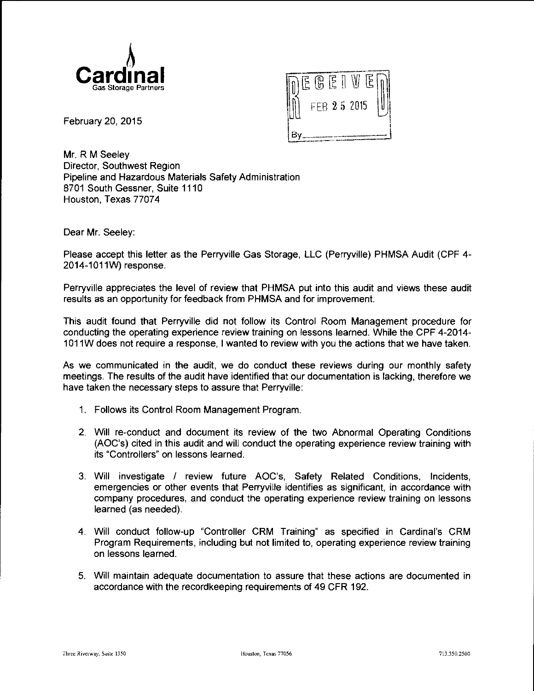



February 20, 2015

Mr. R M Seeley Director, Southwest Region Pipeline and Hazardous Materials Safety Administration 8701 South Gessner, Suite 1110 Houston, Texas 77074

Dear Mr. Seeley:

Please accept this letter as the Perryville Gas Storage, LLC (Perryville) PHMSA Audit (CPF 4- 2014-1011W) response.

Perryville appreciates the level of review that PHMSA put into this audit and views these audit results as an opportunity for feedback from PHMSA and for improvement.

This audit found that Perryville did not follow its Control Room Management procedure for conducting the operating experience review training on lessons learned. While the CPF 4-2014- 1 011W does not require a response, I wanted to review with you the actions that we have taken.

As we communicated in the audit, we do conduct these reviews during our monthly safety meetings. The results of the audit have identified that our documentation is lacking, therefore we have taken the necessary steps to assure that Perryville:

- 1. Follows its Control Room Management Program.
- 2. Will re-conduct and document its review of the two Abnormal Operating Conditions (AOC's) cited in this audit and will conduct the operating experience review training with its "Controllers" on lessons learned.
- 3. Will investigate I review future AOC's, Safety Related Conditions, Incidents, emergencies or other events that Perryville identifies as significant, in accordance with company procedures, and conduct the operating experience review training on lessons learned (as needed).
- 4. Will conduct follow-up "Controller CRM Training" as specified in Cardinal's CRM Program Requirements, including but not limited to, operating experience review training on lessons learned.
- 5. Will maintain adequate documentation to assure that these actions are documented in accordance with the recordkeeping requirements of 49 CFR 192.